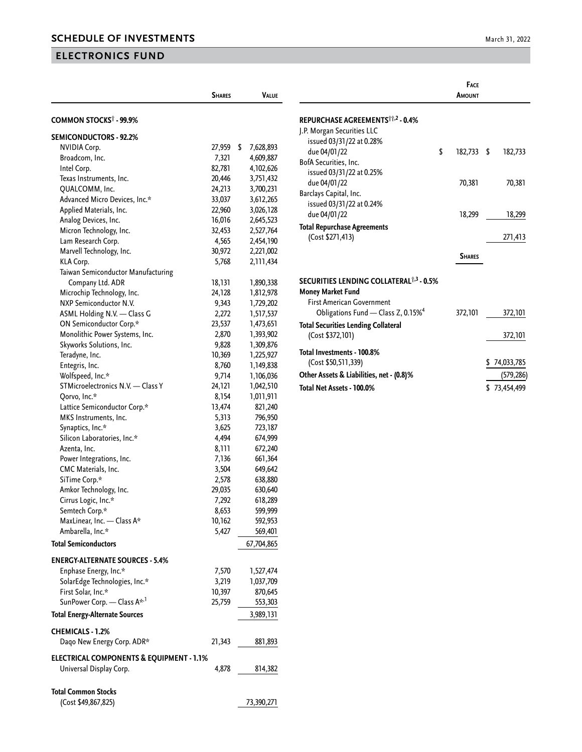## **ELECTRONICS FUND**

| March 31, 2022 |  |  |
|----------------|--|--|
|----------------|--|--|

|                                                     | <b>SHARES</b> | <b>VALUE</b>    |  |
|-----------------------------------------------------|---------------|-----------------|--|
| COMMON STOCKS <sup>†</sup> - 99.9%                  |               |                 |  |
| <b>SEMICONDUCTORS - 92.2%</b>                       |               |                 |  |
| <b>NVIDIA Corp.</b>                                 | 27,959        | \$<br>7,628,893 |  |
| Broadcom, Inc.                                      | 7,321         | 4,609,887       |  |
| Intel Corp.                                         | 82,781        | 4,102,626       |  |
| Texas Instruments, Inc.                             | 20,446        | 3,751,432       |  |
| QUALCOMM, Inc.                                      | 24,213        | 3,700,231       |  |
| Advanced Micro Devices, Inc.*                       | 33,037        | 3,612,265       |  |
| Applied Materials, Inc.                             | 22,960        | 3,026,128       |  |
| Analog Devices, Inc.                                | 16,016        | 2,645,523       |  |
| Micron Technology, Inc.                             | 32,453        | 2,527,764       |  |
| Lam Research Corp.                                  | 4,565         | 2,454,190       |  |
| Marvell Technology, Inc.                            | 30,972        | 2,221,002       |  |
| KLA Corp.                                           | 5,768         | 2,111,434       |  |
| Taiwan Semiconductor Manufacturing                  |               |                 |  |
| Company Ltd. ADR                                    | 18,131        | 1,890,338       |  |
| Microchip Technology, Inc.                          | 24,128        | 1,812,978       |  |
| NXP Semiconductor N.V.                              | 9,343         | 1,729,202       |  |
| ASML Holding N.V. - Class G                         | 2,272         | 1,517,537       |  |
| ON Semiconductor Corp.*                             | 23,537        | 1,473,651       |  |
| Monolithic Power Systems, Inc.                      | 2,870         | 1,393,902       |  |
| Skyworks Solutions, Inc.                            | 9,828         | 1,309,876       |  |
| Teradyne, Inc.                                      | 10,369        | 1,225,927       |  |
| Entegris, Inc.                                      | 8,760         | 1,149,838       |  |
| Wolfspeed, Inc.*                                    | 9,714         | 1,106,036       |  |
| STMicroelectronics N.V. - Class Y                   | 24,121        | 1,042,510       |  |
| Qorvo, Inc.*                                        | 8,154         | 1,011,911       |  |
| Lattice Semiconductor Corp.*                        | 13,474        | 821,240         |  |
| MKS Instruments, Inc.                               | 5,313         | 796,950         |  |
| Synaptics, Inc.*                                    | 3,625         | 723,187         |  |
| Silicon Laboratories, Inc.*                         | 4,494         | 674,999         |  |
| Azenta, Inc.                                        | 8,111         | 672,240         |  |
| Power Integrations, Inc.                            | 7,136         | 661,364         |  |
| CMC Materials, Inc.                                 | 3,504         | 649,642         |  |
| SiTime Corp.*                                       | 2,578         | 638,880         |  |
| Amkor Technology, Inc.                              | 29,035        | 630,640         |  |
| Cirrus Logic, Inc.*                                 | 7,292         | 618,289         |  |
| Semtech Corp.*                                      | 8,653         | 599,999         |  |
| MaxLinear, Inc. - Class A*                          | 10,162        | 592,953         |  |
| Ambarella, Inc.*                                    | 5,427         | 569,401         |  |
| <b>Total Semiconductors</b>                         |               | 67,704,865      |  |
|                                                     |               |                 |  |
| <b>ENERGY-ALTERNATE SOURCES - 5.4%</b>              |               |                 |  |
| Enphase Energy, Inc.*                               | 7,570         | 1,527,474       |  |
| SolarEdge Technologies, Inc.*                       | 3,219         | 1,037,709       |  |
| First Solar, Inc.*                                  | 10,397        | 870,645         |  |
| SunPower Corp. - Class A* <sup>,1</sup>             | 25,759        | 553,303         |  |
| <b>Total Energy-Alternate Sources</b>               |               | 3,989,131       |  |
| <b>CHEMICALS - 1.2%</b>                             |               |                 |  |
| Daqo New Energy Corp. ADR*                          | 21,343        | 881,893         |  |
| <b>ELECTRICAL COMPONENTS &amp; EQUIPMENT - 1.1%</b> |               |                 |  |
| Universal Display Corp.                             | 4,878         | 814,382         |  |
|                                                     |               |                 |  |
| <b>Total Common Stocks</b>                          |               |                 |  |

|                                                     | FACE<br>AMOUNT   |                  |
|-----------------------------------------------------|------------------|------------------|
| REPURCHASE AGREEMENTS <sup>**</sup> ,2 - 0.4%       |                  |                  |
| J.P. Morgan Securities LLC                          |                  |                  |
| issued 03/31/22 at 0.28%                            |                  |                  |
| due 04/01/22                                        | \$<br>182,733 \$ | 182,733          |
| BofA Securities, Inc.                               |                  |                  |
| issued 03/31/22 at 0.25%                            |                  |                  |
| due 04/01/22                                        | 70,381           | 70,381           |
| Barclays Capital, Inc.                              |                  |                  |
| issued 03/31/22 at 0.24%                            |                  |                  |
| due 04/01/22                                        | 18,299           | 18,299           |
| <b>Total Repurchase Agreements</b>                  |                  |                  |
| (Cost \$271,413)                                    |                  | 271,413          |
|                                                     |                  |                  |
|                                                     | <b>SHARES</b>    |                  |
| SECURITIES LENDING COLLATERAL <sup>†,3</sup> - 0.5% |                  |                  |
| <b>Money Market Fund</b>                            |                  |                  |
| <b>First American Government</b>                    |                  |                  |
| Obligations Fund - Class Z, 0.15% <sup>4</sup>      | 372,101          | 372,101          |
| <b>Total Securities Lending Collateral</b>          |                  |                  |
| (Cost \$372,101)                                    |                  | 372,101          |
| Total Investments - 100.8%                          |                  |                  |
| (Cost \$50,511,339)                                 |                  | \$74,033,785     |
| Other Assets & Liabilities, net - (0.8)%            |                  | (579,286)        |
| Total Net Assets - 100.0%                           |                  | \$<br>73,454,499 |